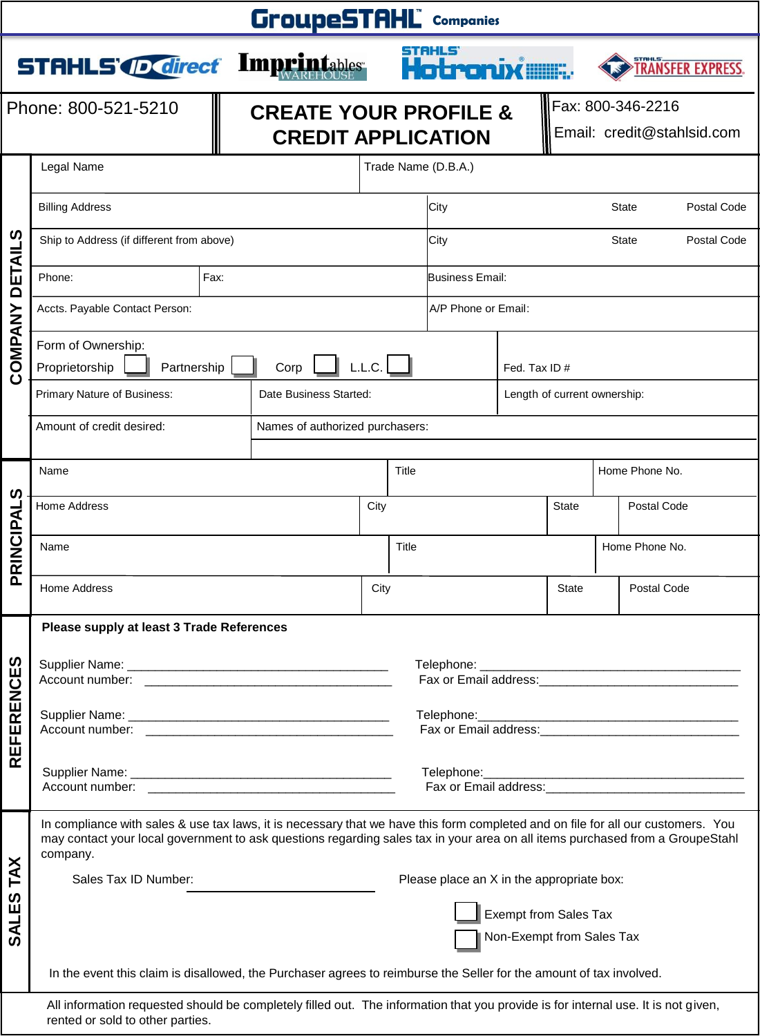| <b>GroupeSTAHL</b> companies |                                                                                                                                                                                                                                                                               |  |  |  |                                                                                                               |  |              |                              |                                                 |              |                          |
|------------------------------|-------------------------------------------------------------------------------------------------------------------------------------------------------------------------------------------------------------------------------------------------------------------------------|--|--|--|---------------------------------------------------------------------------------------------------------------|--|--------------|------------------------------|-------------------------------------------------|--------------|--------------------------|
|                              | <b>STAHLS <i>ID Cirect</i></b> Imprintables                                                                                                                                                                                                                                   |  |  |  |                                                                                                               |  | Hatroniximu: |                              |                                                 |              | <b>TRANSFER EXPRESS.</b> |
| Phone: 800-521-5210          |                                                                                                                                                                                                                                                                               |  |  |  | <b>CREATE YOUR PROFILE &amp;</b><br><b>CREDIT APPLICATION</b>                                                 |  |              |                              | Fax: 800-346-2216<br>Email: credit@stahlsid.com |              |                          |
| ၯ                            | Legal Name                                                                                                                                                                                                                                                                    |  |  |  | Trade Name (D.B.A.)                                                                                           |  |              |                              |                                                 |              |                          |
|                              | <b>Billing Address</b>                                                                                                                                                                                                                                                        |  |  |  | City                                                                                                          |  |              |                              | <b>State</b>                                    | Postal Code  |                          |
|                              | Ship to Address (if different from above)                                                                                                                                                                                                                                     |  |  |  |                                                                                                               |  | City         |                              |                                                 | <b>State</b> | Postal Code              |
| <b>DETAIL</b>                | Fax:<br>Phone:                                                                                                                                                                                                                                                                |  |  |  | Business Email:                                                                                               |  |              |                              |                                                 |              |                          |
|                              | Accts. Payable Contact Person:                                                                                                                                                                                                                                                |  |  |  | A/P Phone or Email:                                                                                           |  |              |                              |                                                 |              |                          |
| COMPANY                      | Form of Ownership:<br>Proprietorship<br>Partnership<br>Corp                                                                                                                                                                                                                   |  |  |  | L.L.C.                                                                                                        |  |              | Fed. Tax ID#                 |                                                 |              |                          |
|                              | Primary Nature of Business:<br>Date Business Started:                                                                                                                                                                                                                         |  |  |  |                                                                                                               |  |              | Length of current ownership: |                                                 |              |                          |
|                              | Amount of credit desired:<br>Names of authorized purchasers:                                                                                                                                                                                                                  |  |  |  |                                                                                                               |  |              |                              |                                                 |              |                          |
|                              | Name                                                                                                                                                                                                                                                                          |  |  |  | Title                                                                                                         |  |              | Home Phone No.               |                                                 |              |                          |
|                              | <b>Home Address</b>                                                                                                                                                                                                                                                           |  |  |  | City                                                                                                          |  |              | <b>State</b>                 |                                                 | Postal Code  |                          |
| PRINCIPALS                   | Name                                                                                                                                                                                                                                                                          |  |  |  | Title                                                                                                         |  |              |                              | Home Phone No.                                  |              |                          |
|                              | Home Address                                                                                                                                                                                                                                                                  |  |  |  | City                                                                                                          |  |              | <b>State</b>                 | Postal Code                                     |              |                          |
|                              | Please supply at least 3 Trade References                                                                                                                                                                                                                                     |  |  |  |                                                                                                               |  |              |                              |                                                 |              |                          |
| S                            |                                                                                                                                                                                                                                                                               |  |  |  |                                                                                                               |  |              |                              |                                                 |              |                          |
|                              |                                                                                                                                                                                                                                                                               |  |  |  | Fax or Email address: Management Control of Tax or Email address:                                             |  |              |                              |                                                 |              |                          |
| <b>REFERENCE</b>             |                                                                                                                                                                                                                                                                               |  |  |  |                                                                                                               |  |              |                              |                                                 |              |                          |
|                              |                                                                                                                                                                                                                                                                               |  |  |  | Fax or Email address: Email and the state of the state of the state of the state of the state of the state of |  |              |                              |                                                 |              |                          |
|                              | In compliance with sales & use tax laws, it is necessary that we have this form completed and on file for all our customers. You<br>may contact your local government to ask questions regarding sales tax in your area on all items purchased from a GroupeStahl<br>company. |  |  |  |                                                                                                               |  |              |                              |                                                 |              |                          |
| TAX<br>S                     | Sales Tax ID Number:                                                                                                                                                                                                                                                          |  |  |  | Please place an X in the appropriate box:                                                                     |  |              |                              |                                                 |              |                          |
| <b>SALE</b>                  |                                                                                                                                                                                                                                                                               |  |  |  | <b>Exempt from Sales Tax</b><br>Non-Exempt from Sales Tax                                                     |  |              |                              |                                                 |              |                          |
|                              | In the event this claim is disallowed, the Purchaser agrees to reimburse the Seller for the amount of tax involved.                                                                                                                                                           |  |  |  |                                                                                                               |  |              |                              |                                                 |              |                          |
|                              | All information requested should be completely filled out. The information that you provide is for internal use. It is not given,                                                                                                                                             |  |  |  |                                                                                                               |  |              |                              |                                                 |              |                          |

rented or sold to other parties.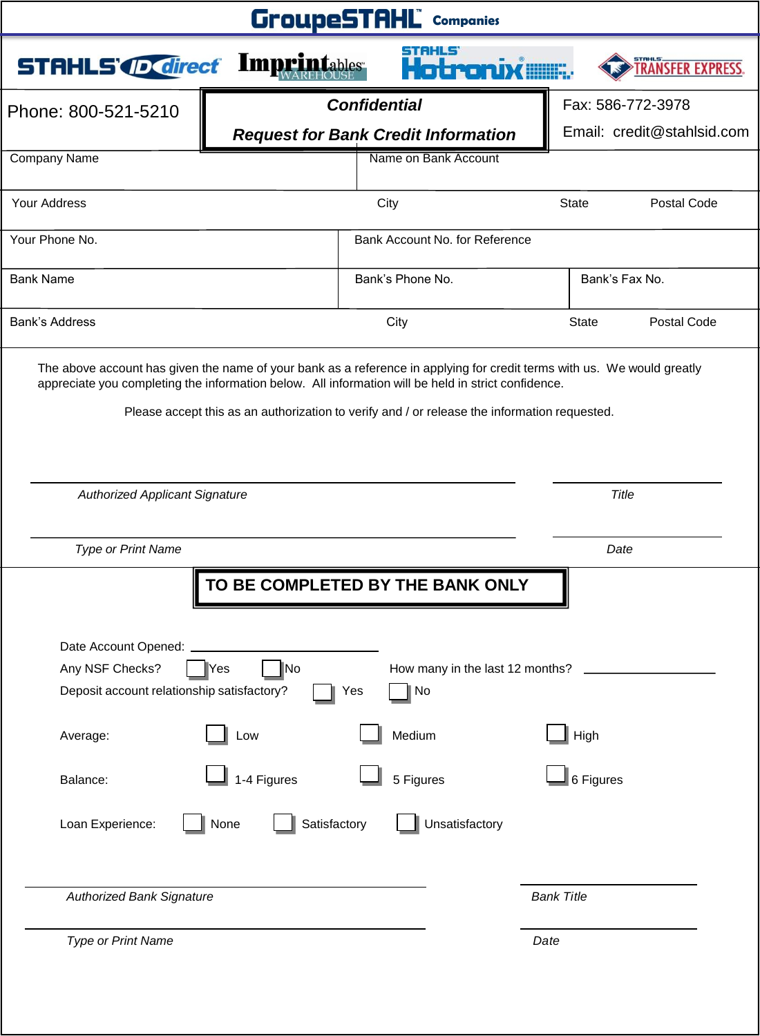| <b>GroupeSTAHL</b> Companies                                                                                                                                                                                                                                                                                                                                                     |                                                                                         |                             |  |  |  |  |
|----------------------------------------------------------------------------------------------------------------------------------------------------------------------------------------------------------------------------------------------------------------------------------------------------------------------------------------------------------------------------------|-----------------------------------------------------------------------------------------|-----------------------------|--|--|--|--|
| <b>STAHLS OF direct Imprintables</b>                                                                                                                                                                                                                                                                                                                                             | stahls                                                                                  | <b>TRANSFER EXPRES</b>      |  |  |  |  |
| Phone: 800-521-5210                                                                                                                                                                                                                                                                                                                                                              | <b>Confidential</b>                                                                     | Fax: 586-772-3978           |  |  |  |  |
|                                                                                                                                                                                                                                                                                                                                                                                  | <b>Request for Bank Credit Information</b>                                              | Email: credit@stahlsid.com  |  |  |  |  |
| <b>Company Name</b>                                                                                                                                                                                                                                                                                                                                                              | Name on Bank Account                                                                    |                             |  |  |  |  |
| Your Address                                                                                                                                                                                                                                                                                                                                                                     | City                                                                                    | Postal Code<br><b>State</b> |  |  |  |  |
| Your Phone No.                                                                                                                                                                                                                                                                                                                                                                   | Bank Account No. for Reference                                                          |                             |  |  |  |  |
| <b>Bank Name</b>                                                                                                                                                                                                                                                                                                                                                                 | Bank's Phone No.                                                                        | Bank's Fax No.              |  |  |  |  |
| <b>Bank's Address</b>                                                                                                                                                                                                                                                                                                                                                            | City                                                                                    | Postal Code<br><b>State</b> |  |  |  |  |
| The above account has given the name of your bank as a reference in applying for credit terms with us. We would greatly<br>appreciate you completing the information below. All information will be held in strict confidence.<br>Please accept this as an authorization to verify and / or release the information requested.<br>Title<br><b>Authorized Applicant Signature</b> |                                                                                         |                             |  |  |  |  |
|                                                                                                                                                                                                                                                                                                                                                                                  |                                                                                         |                             |  |  |  |  |
| Type or Print Name                                                                                                                                                                                                                                                                                                                                                               |                                                                                         | Date                        |  |  |  |  |
| Date Account Opened:<br>Any NSF Checks?<br>llYes<br>Deposit account relationship satisfactory?                                                                                                                                                                                                                                                                                   | TO BE COMPLETED BY THE BANK ONLY<br>∥No<br>How many in the last 12 months?<br>No<br>Yes |                             |  |  |  |  |
| Low<br>Average:                                                                                                                                                                                                                                                                                                                                                                  | Medium                                                                                  | High                        |  |  |  |  |
| Balance:                                                                                                                                                                                                                                                                                                                                                                         | 1-4 Figures<br>5 Figures                                                                | 6 Figures                   |  |  |  |  |
| Loan Experience:<br>None                                                                                                                                                                                                                                                                                                                                                         | Satisfactory<br>Unsatisfactory                                                          |                             |  |  |  |  |
| <b>Authorized Bank Signature</b>                                                                                                                                                                                                                                                                                                                                                 |                                                                                         | <b>Bank Title</b>           |  |  |  |  |
| Type or Print Name                                                                                                                                                                                                                                                                                                                                                               |                                                                                         | Date                        |  |  |  |  |